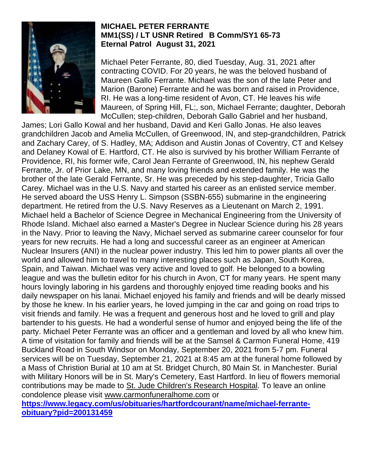

## **MICHAEL PETER FERRANTE MM1(SS) / LT USNR Retired B Comm/SY1 65-73 Eternal Patrol August 31, 2021**

Michael Peter Ferrante, 80, died Tuesday, Aug. 31, 2021 after contracting COVID. For 20 years, he was the beloved husband of Maureen Gallo Ferrante. Michael was the son of the late Peter and Marion (Barone) Ferrante and he was born and raised in Providence, RI. He was a long-time resident of Avon, CT. He leaves his wife Maureen, of Spring Hill, FL;, son, Michael Ferrante; daughter, Deborah McCullen; step-children, Deborah Gallo Gabriel and her husband,

James; Lori Gallo Kowal and her husband, David and Keri Gallo Jonas. He also leaves grandchildren Jacob and Amelia McCullen, of Greenwood, IN, and step-grandchildren, Patrick and Zachary Carey, of S. Hadley, MA; Addison and Austin Jonas of Coventry, CT and Kelsey and Delaney Kowal of E. Hartford, CT. He also is survived by his brother William Ferrante of Providence, RI, his former wife, Carol Jean Ferrante of Greenwood, IN, his nephew Gerald Ferrante, Jr. of Prior Lake, MN, and many loving friends and extended family. He was the brother of the late Gerald Ferrante, Sr. He was preceded by his step-daughter, Tricia Gallo Carey. Michael was in the U.S. Navy and started his career as an enlisted service member. He served aboard the USS Henry L. Simpson (SSBN-655) submarine in the engineering department. He retired from the U.S. Navy Reserves as a Lieutenant on March 2, 1991. Michael held a Bachelor of Science Degree in Mechanical Engineering from the University of Rhode Island. Michael also earned a Master's Degree in Nuclear Science during his 28 years in the Navy. Prior to leaving the Navy, Michael served as submarine career counselor for four years for new recruits. He had a long and successful career as an engineer at American Nuclear Insurers (ANI) in the nuclear power industry. This led him to power plants all over the world and allowed him to travel to many interesting places such as Japan, South Korea, Spain, and Taiwan. Michael was very active and loved to golf. He belonged to a bowling league and was the bulletin editor for his church in Avon, CT for many years. He spent many hours lovingly laboring in his gardens and thoroughly enjoyed time reading books and his daily newspaper on his lanai. Michael enjoyed his family and friends and will be dearly missed by those he knew. In his earlier years, he loved jumping in the car and going on road trips to visit friends and family. He was a frequent and generous host and he loved to grill and play bartender to his guests. He had a wonderful sense of humor and enjoyed being the life of the party. Michael Peter Ferrante was an officer and a gentleman and loved by all who knew him. A time of visitation for family and friends will be at the Samsel & Carmon Funeral Home, 419 Buckland Road in South Windsor on Monday, September 20, 2021 from 5-7 pm. Funeral services will be on Tuesday, September 21, 2021 at 8:45 am at the funeral home followed by a Mass of Christion Burial at 10 am at St. Bridget Church, 80 Main St. in Manchester. Burial with Military Honors will be in St. Mary's Cemetery, East Hartford. In lieu of flowers memorial contributions may be made to [St. Jude Children's Research Hospital.](https://www.stjude.org/donate/legacy.html?frequency_selected=2&legacypid=200131459&memoryFirstName=Michael&memoryLastName=Ferrante) To leave an online condolence please visit [www.carmonfuneralhome.com](http://www.carmonfuneralhome.com/) or

**[https://www.legacy.com/us/obituaries/hartfordcourant/name/michael-ferrante](https://www.legacy.com/us/obituaries/hartfordcourant/name/michael-ferrante-obituary?pid=200131459)[obituary?pid=200131459](https://www.legacy.com/us/obituaries/hartfordcourant/name/michael-ferrante-obituary?pid=200131459)**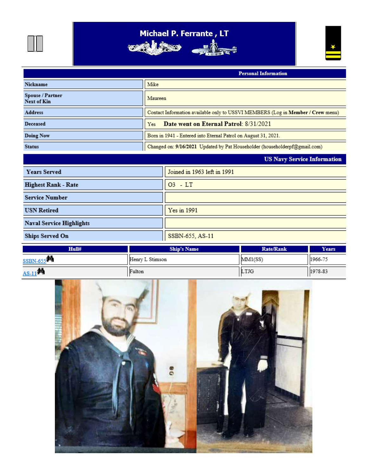

## Michael P. Ferrante, LT







|                                        | <b>Personal Information</b>                                                     |  |
|----------------------------------------|---------------------------------------------------------------------------------|--|
| Nickname                               | Mike                                                                            |  |
| Spouse / Partner<br><b>Next of Kin</b> | Maureen                                                                         |  |
| <b>Address</b>                         | Contact Information available only to USSVI MEMBERS (Log in Member / Crew menu) |  |
| Deceased                               | Date went on Eternal Patrol: 8/31/2021<br>Yes                                   |  |
| Doing Now                              | Born in 1941 - Entered into Eternal Patrol on August 31, 2021.                  |  |
| <b>Status</b>                          | Changed on: 9/16/2021 Updated by Pat Householder (householderpf@gmail.com)      |  |

|                                 | <b>US Navy Service Information</b> |
|---------------------------------|------------------------------------|
| <b>Years Served</b>             | Joined in 1963 left in 1991        |
| <b>Highest Rank - Rate</b>      | $O3$ - $LT$                        |
| <b>Service Number</b>           |                                    |
| <b>USN Retired</b>              | Yes in 1991                        |
| <b>Naval Service Highlights</b> |                                    |
| <b>Ships Served On</b>          | SSBN-655, AS-11                    |

| Hull#      | <b>Ship's Name</b> | <b>Rate/Rank</b> | Years   |
|------------|--------------------|------------------|---------|
| SSBN-655   | Henry L Stimson    | MM1(SS)          | 1966-75 |
| $_{AS-11}$ | Fulton             | LTJG             | 1978-83 |

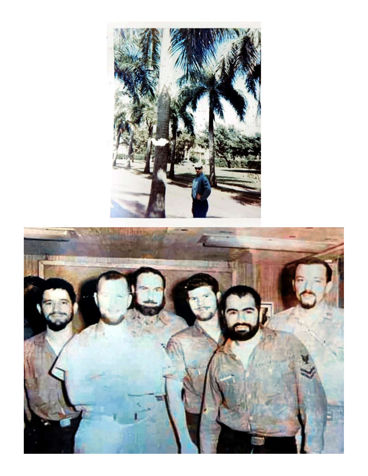

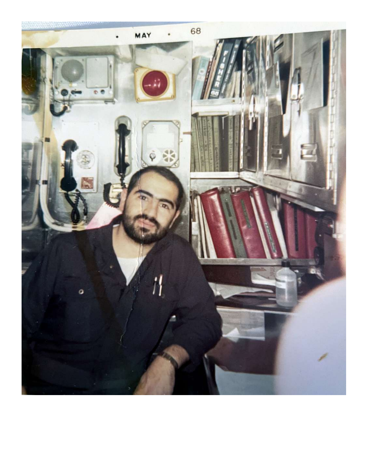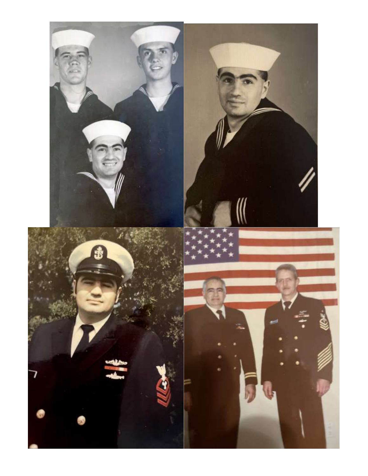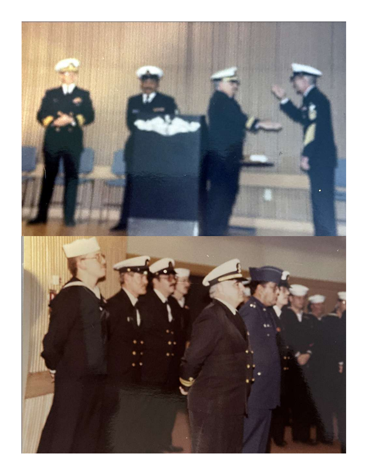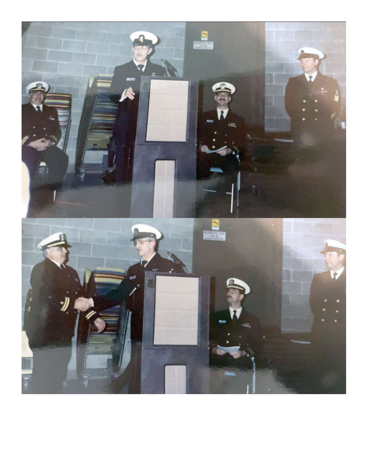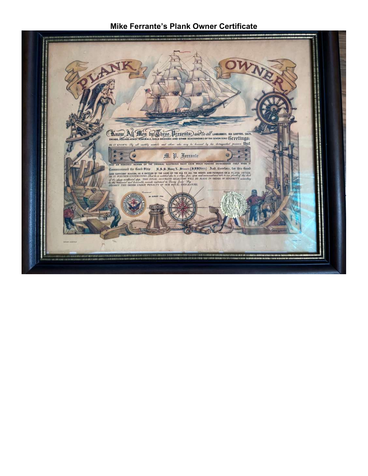## **Mike Ferrante's Plank Owner Certificate**

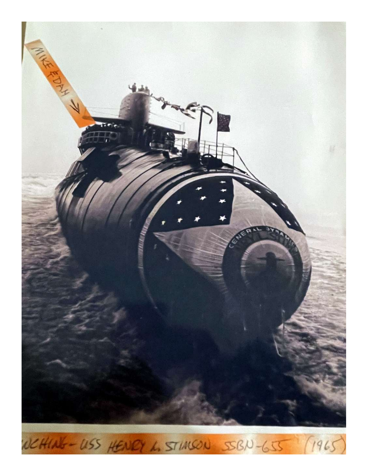